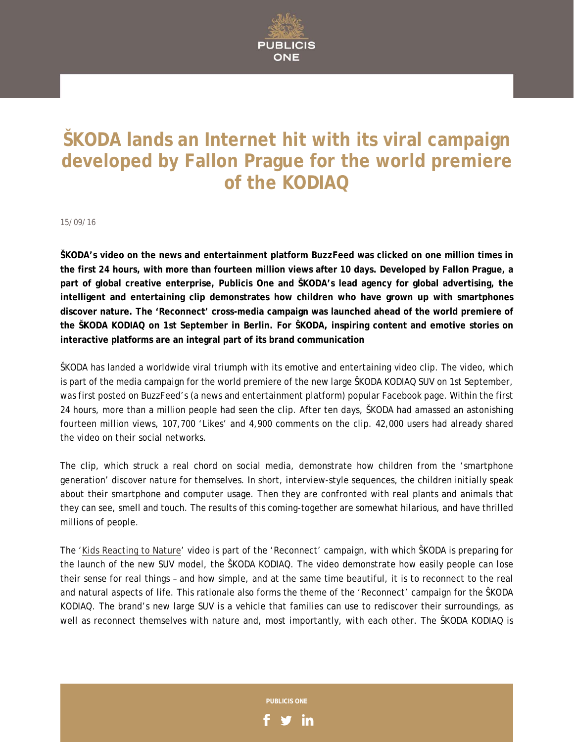

## **ŠKODA lands an Internet hit with its viral campaign developed by Fallon Prague for the world premiere of the KODIAQ**

15/09/16

**ŠKODA's video on the news and entertainment platform BuzzFeed was clicked on one million times in the first 24 hours, with more than fourteen million views after 10 days. Developed by Fallon Prague, a part of global creative enterprise, Publicis One and ŠKODA's lead agency for global advertising, the intelligent and entertaining clip demonstrates how children who have grown up with smartphones discover nature. The 'Reconnect' cross-media campaign was launched ahead of the world premiere of the ŠKODA KODIAQ on 1st September in Berlin. For ŠKODA, inspiring content and emotive stories on interactive platforms are an integral part of its brand communication** 

ŠKODA has landed a worldwide viral triumph with its emotive and entertaining video clip. The video, which is part of the media campaign for the world premiere of the new large ŠKODA KODIAQ SUV on 1st September, was first posted on BuzzFeed's (a news and entertainment platform) popular Facebook page. Within the first 24 hours, more than a million people had seen the clip. After ten days, ŠKODA had amassed an astonishing fourteen million views, 107,700 'Likes' and 4,900 comments on the clip. 42,000 users had already shared the video on their social networks.

The clip, which struck a real chord on social media, demonstrate how children from the 'smartphone generation' discover nature for themselves. In short, interview-style sequences, the children initially speak about their smartphone and computer usage. Then they are confronted with real plants and animals that they can see, smell and touch. The results of this coming-together are somewhat hilarious, and have thrilled millions of people.

The '[Kids Reacting to Nature'](https://www.facebook.com/BuzzFeedVideo/videos/2028118413995697) video is part of the 'Reconnect' campaign, with which ŠKODA is preparing for the launch of the new SUV model, the ŠKODA KODIAQ. The video demonstrate how easily people can lose their sense for real things – and how simple, and at the same time beautiful, it is to reconnect to the real and natural aspects of life. This rationale also forms the theme of the 'Reconnect' campaign for the ŠKODA KODIAQ. The brand's new large SUV is a vehicle that families can use to rediscover their surroundings, as well as reconnect themselves with nature and, most importantly, with each other. The ŠKODA KODIAQ is

**PUBLICIS ONE** 

in